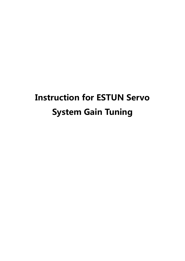# Instruction for ESTUN Servo System Gain Tuning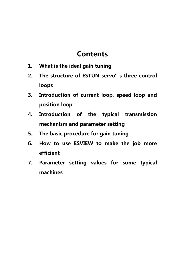# **Contents**

- 1. What is the ideal gain tuning
- 2. The structure of ESTUN servo's three control loops
- 3. Introduction of current loop, speed loop and position loop
- 4. Introduction of the typical transmission mechanism and parameter setting
- 5. The basic procedure for gain tuning
- 6. How to use ESVIEW to make the job more efficient
- 7. Parameter setting values for some typical machines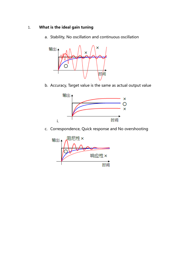# 1. What is the ideal gain tuning

a. Stability, No oscillation and continuous oscillation



b. Accuracy, Target value is the same as actual output value



c. Correspondence, Quick response and No overshooting

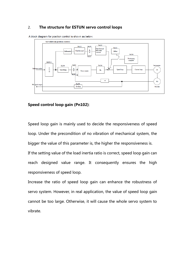# 2. The structure for ESTUN servo control loops



A block diagram for position control is shown as below.

# Speed control loop gain (Pn102):

Speed loop gain is mainly used to decide the responsiveness of speed loop. Under the precondition of no vibration of mechanical system, the bigger the value of this parameter is, the higher the responsiveness is. If the setting value of the load inertia ratio is correct, speed loop gain can reach designed value range. It consequently ensures the high responsiveness of speed loop.

Increase the ratio of speed loop gain can enhance the robustness of servo system. However, in real application, the value of speed loop gain cannot be too large. Otherwise, it will cause the whole servo system to vibrate.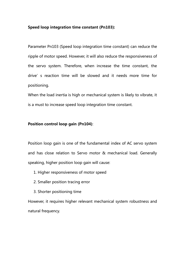### Speed loop integration time constant (Pn103):

Parameter Pn103 (Speed loop integration time constant) can reduce the ripple of motor speed. However, it will also reduce the responsiveness of the servo system. Therefore, when increase the time constant, the drive's reaction time will be slowed and it needs more time for positioning.

When the load inertia is high or mechanical system is likely to vibrate, it is a must to increase speed loop integration time constant.

# Position control loop gain (Pn104):

Position loop gain is one of the fundamental index of AC servo system and has close relation to Servo motor & mechanical load. Generally speaking, higher position loop gain will cause:

- 1. Higher responsiveness of motor speed
- 2. Smaller position tracing error
- 3. Shorter positioning time

However, it requires higher relevant mechanical system robustness and natural frequency.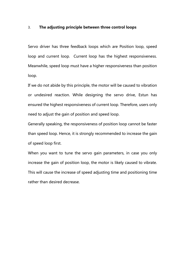### 3. The adjusting principle between three control loops

Servo driver has three feedback loops which are Position loop, speed loop and current loop. Current loop has the highest responsiveness. Meanwhile, speed loop must have a higher responsiveness than position loop.

If we do not abide by this principle, the motor will be caused to vibration or undesired reaction. While designing the servo drive, Estun has ensured the highest responsiveness of current loop. Therefore, users only need to adjust the gain of position and speed loop.

Generally speaking, the responsiveness of position loop cannot be faster than speed loop. Hence, it is strongly recommended to increase the gain of speed loop first.

When you want to tune the servo gain parameters, in case you only increase the gain of position loop, the motor is likely caused to vibrate. This will cause the increase of speed adjusting time and positioning time rather than desired decrease.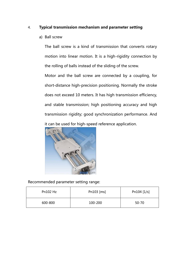# 4. Typical transmission mechanism and parameter setting

a) Ball screw

The ball screw is a kind of transmission that converts rotary motion into linear motion. It is a high-rigidity connection by the rolling of balls instead of the sliding of the screw.

Motor and the ball screw are connected by a coupling, for short-distance high-precision positioning. Normally the stroke does not exceed 10 meters. It has high transmission efficiency, and stable transmission; high positioning accuracy and high transmission rigidity; good synchronization performance. And it can be used for high-speed reference application.



Recommended parameter setting range:

| Pn $102$ Hz | Pn103 [ms] | Pn104 [1/s] |
|-------------|------------|-------------|
| 600-800     | 100-200    | $50 - 70$   |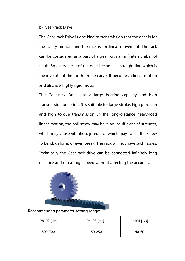### b) Gear-rack Drive

The Gear-rack Drive is one kind of transmission that the gear is for the rotary motion, and the rack is for linear movement. The rack can be considered as a part of a gear with an infinite number of teeth. So every circle of the gear becomes a straight line which is the involute of the tooth profile curve. It becomes a linear motion and also is a highly rigid motion.

The Gear-rack Drive has a large bearing capacity and high transmission precision. It is suitable for large stroke, high precision and high torque transmission. In the long-distance heavy-load linear motion, the ball screw may have an insufficient of strength, which may cause vibration, jitter, etc., which may cause the screw to bend, deform, or even break. The rack will not have such issues. Technically the Gear-rack drive can be connected infinitely long distance and run at high speed without affecting the accuracy.



Recommended parameter setting range:

| Pn102 [Hz] | Pn103 [ms] | Pn104 $[1/s]$ |
|------------|------------|---------------|
| 500-700    | 150-250    | $40 - 60$     |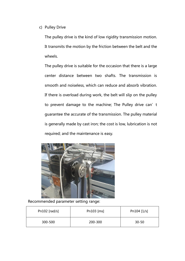c) Pulley Drive

The pulley drive is the kind of low rigidity transmission motion. It transmits the motion by the friction between the belt and the wheels.

The pulley drive is suitable for the occasion that there is a large center distance between two shafts. The transmission is smooth and noiseless, which can reduce and absorb vibration. If there is overload during work, the belt will slip on the pulley to prevent damage to the machine; The Pulley drive can't guarantee the accurate of the transmission. The pulley material is generally made by cast iron; the cost is low, lubrication is not required; and the maintenance is easy.



Recommended parameter setting range:

| Pn102 [rad/s] | Pn103 [ms] | Pn104 $[1/s]$ |
|---------------|------------|---------------|
| 300-500       | 200-300    | $30 - 50$     |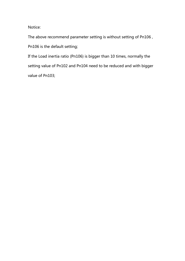Notice:

The above recommend parameter setting is without setting of Pn106 , Pn106 is the default setting;

If the Load inertia ratio (Pn106) is bigger than 10 times, normally the setting value of Pn102 and Pn104 need to be reduced and with bigger value of Pn103;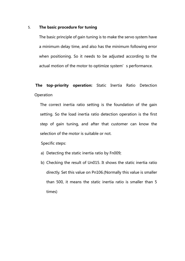# 5. The basic procedure for tuning

The basic principle of gain tuning is to make the servo system have a minimum delay time, and also has the minimum following error when positioning. So it needs to be adjusted according to the actual motion of the motor to optimize system's performance.

# The top-priority operation: Static Inertia Ratio Detection **Operation**

The correct inertia ratio setting is the foundation of the gain setting. So the load inertia ratio detection operation is the first step of gain tuning, and after that customer can know the selection of the motor is suitable or not.

# Specific steps:

- a) Detecting the static inertia ratio by Fn009;
- b) Checking the result of Un015. It shows the static inertia ratio directly. Set this value on Pn106.(Normally this value is smaller than 500, it means the static inertia ratio is smaller than 5 times)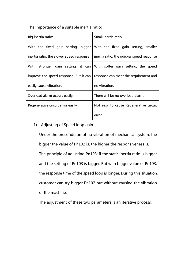The importance of a suitable inertia ratio:

| Big inertia ratio:                       | Small inertia ratio:                                                   |  |
|------------------------------------------|------------------------------------------------------------------------|--|
| With the fixed gain setting, bigger      | With the fixed gain setting, smaller                                   |  |
| inertia ratio, the slower speed response | inertia ratio, the quicker speed response                              |  |
|                                          | With stronger gain setting, it can With softer gain setting, the speed |  |
| improve the speed response. But it can   | response can meet the requirement and                                  |  |
| easily cause vibration.                  | no vibration.                                                          |  |
| Overload alarm occurs easily.            | There will be no overload alarm.                                       |  |
| Regenerative circuit error easily.       | Not easy to cause Regenerative circuit                                 |  |
|                                          | error                                                                  |  |

# 1) Adjusting of Speed loop gain

Under the precondition of no vibration of mechanical system, the bigger the value of Pn102 is, the higher the responsiveness is. The principle of adjusting Pn103: If the static inertia ratio is bigger and the setting of Pn103 is bigger. But with bigger value of Pn103, the response time of the speed loop is longer. During this situation, customer can try bigger Pn102 but without causing the vibration of the machine.

The adjustment of these two parameters is an iterative process.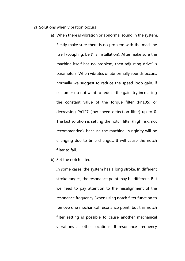- 2) Solutions when vibration occurs
	- a) When there is vibration or abnormal sound in the system. Firstly make sure there is no problem with the machine itself (coupling, belt's installation). After make sure the machine itself has no problem, then adjusting drive's parameters. When vibrates or abnormally sounds occurs, normally we suggest to reduce the speed loop gain. If customer do not want to reduce the gain, try increasing the constant value of the torque filter (Pn105) or decreasing Pn127 (low speed detection filter) up to 0. The last solution is setting the notch filter (high risk, not recommended), because the machine's rigidity will be changing due to time changes. It will cause the notch filter to fail.
	- b) Set the notch filter.

In some cases, the system has a long stroke. In different stroke ranges, the resonance point may be different. But we need to pay attention to the misalignment of the resonance frequency (when using notch filter function to remove one mechanical resonance point, but this notch filter setting is possible to cause another mechanical vibrations at other locations. If resonance frequency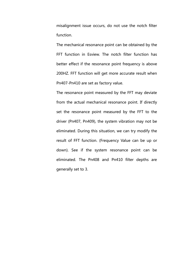misalignment issue occurs, do not use the notch filter function.

The mechanical resonance point can be obtained by the FFT function in Esview. The notch filter function has better effect if the resonance point frequency is above 200HZ. FFT function will get more accurate result when Pn407-Pn410 are set as factory value.

The resonance point measured by the FFT may deviate from the actual mechanical resonance point. If directly set the resonance point measured by the FFT to the driver (Pn407, Pn409), the system vibration may not be eliminated. During this situation, we can try modify the result of FFT function. (Frequency Value can be up or down). See if the system resonance point can be eliminated. The Pn408 and Pn410 filter depths are generally set to 3.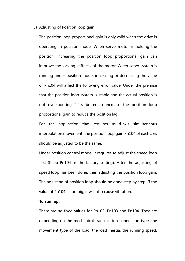## 3) Adjusting of Position loop gain

The position loop proportional gain is only valid when the drive is operating in position mode. When servo motor is holding the position, increasing the position loop proportional gain can improve the locking stiffness of the motor. When servo system is running under position mode, increasing or decreasing the value of Pn104 will affect the following error value. Under the premise that the position loop system is stable and the actual position is not overshooting. It's better to increase the position loop proportional gain to reduce the position lag.

For the application that requires multi-axis simultaneous interpolation movement, the position loop gain Pn104 of each axis should be adjusted to be the same.

Under position control mode, it requires to adjust the speed loop first (Keep Pn104 as the factory setting). After the adjusting of speed loop has been done, then adjusting the position loop gain. The adjusting of position loop should be done step by step. If the value of Pn104 is too big, it will also cause vibration.

#### To sum up:

There are no fixed values for Pn102, Pn103 and Pn104. They are depending on the mechanical transmission connection type, the movement type of the load, the load inertia, the running speed,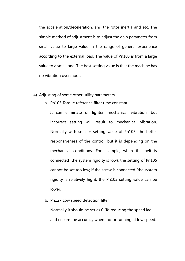the acceleration/deceleration, and the rotor inertia and etc. The simple method of adjustment is to adjust the gain parameter from small value to large value in the range of general experience according to the external load. The value of Pn103 is from a large value to a small one. The best setting value is that the machine has no vibration overshoot.

# 4) Adjusting of some other utility parameters

a. Pn105 Torque reference filter time constant

It can eliminate or lighten mechanical vibration, but incorrect setting will result to mechanical vibration. Normally with smaller setting value of Pn105, the better responsiveness of the control, but it is depending on the mechanical conditions. For example, when the belt is connected (the system rigidity is low), the setting of Pn105 cannot be set too low; if the screw is connected (the system rigidity is relatively high), the Pn105 setting value can be lower.

b. Pn127 Low speed detection filter

Normally it should be set as 0. To reducing the speed lag and ensure the accuracy when motor running at low speed.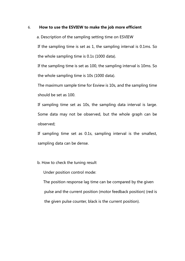### 6. How to use the ESVIEW to make the job more efficient

a. Description of the sampling setting time on ESVIEW

If the sampling time is set as 1, the sampling interval is 0.1ms. So the whole sampling time is 0.1s (1000 data).

If the sampling time is set as 100, the sampling interval is 10ms. So the whole sampling time is 10s (1000 data).

The maximum sample time for Esview is 10s, and the sampling time should be set as 100.

If sampling time set as 10s, the sampling data interval is large. Some data may not be observed, but the whole graph can be observed;

If sampling time set as 0.1s, sampling interval is the smallest, sampling data can be dense.

b. How to check the tuning result

Under position control mode:

 The position response lag time can be compared by the given pulse and the current position (motor feedback position) (red is the given pulse counter, black is the current position).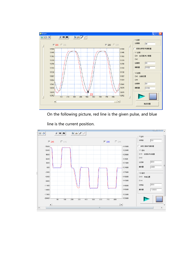

On the following picture, red line is the given pulse, and blue

line is the current position.

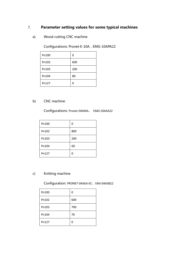# 7. Parameter setting values for some typical machines

a) Wood cutting CNC machine

Configurations: Pronet-E-10A, EMG-10APA22

| Pn100 | 0   |
|-------|-----|
| Pn102 | 600 |
| Pn103 | 200 |
| Pn104 | 80  |
| Pn127 |     |

# b) CNC machine

Configurations: Pronet-50AMA, EMG-50ASA22

| Pn100 | 0   |
|-------|-----|
| Pn102 | 800 |
| Pn103 | 200 |
| Pn104 | 60  |
| Pn127 |     |

# c) Knitting machine

Configuration: PRONET-04AEA-EC, EMJ-04ASB22

| Pn100 | 0   |
|-------|-----|
| Pn102 | 600 |
| Pn103 | 700 |
| Pn104 | 70  |
| Pn127 | O   |